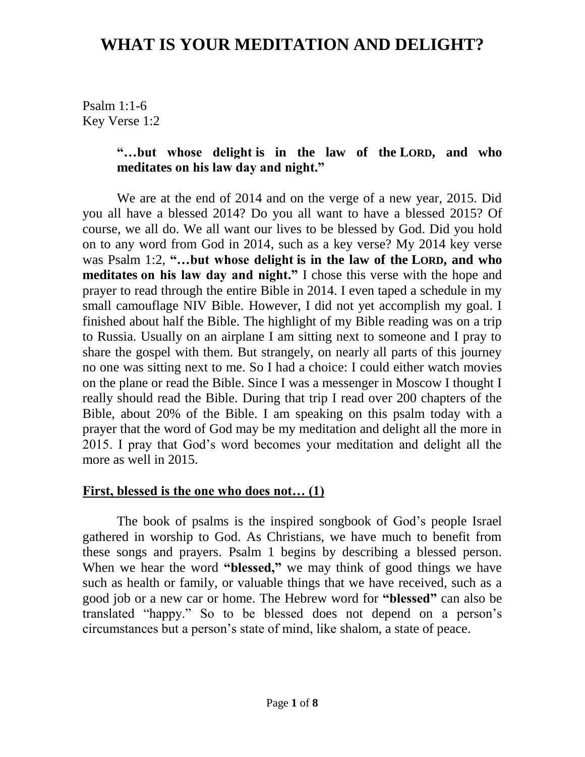Psalm 1:1-6 Key Verse 1:2

### **"…but whose delight is in the law of the LORD, and who meditates on his law day and night."**

We are at the end of 2014 and on the verge of a new year, 2015. Did you all have a blessed 2014? Do you all want to have a blessed 2015? Of course, we all do. We all want our lives to be blessed by God. Did you hold on to any word from God in 2014, such as a key verse? My 2014 key verse was Psalm 1:2, **"…but whose delight is in the law of the LORD, and who meditates on his law day and night."** I chose this verse with the hope and prayer to read through the entire Bible in 2014. I even taped a schedule in my small camouflage NIV Bible. However, I did not yet accomplish my goal. I finished about half the Bible. The highlight of my Bible reading was on a trip to Russia. Usually on an airplane I am sitting next to someone and I pray to share the gospel with them. But strangely, on nearly all parts of this journey no one was sitting next to me. So I had a choice: I could either watch movies on the plane or read the Bible. Since I was a messenger in Moscow I thought I really should read the Bible. During that trip I read over 200 chapters of the Bible, about 20% of the Bible. I am speaking on this psalm today with a prayer that the word of God may be my meditation and delight all the more in 2015. I pray that God's word becomes your meditation and delight all the more as well in 2015.

#### **First, blessed is the one who does not… (1)**

The book of psalms is the inspired songbook of God's people Israel gathered in worship to God. As Christians, we have much to benefit from these songs and prayers. Psalm 1 begins by describing a blessed person. When we hear the word **"blessed,"** we may think of good things we have such as health or family, or valuable things that we have received, such as a good job or a new car or home. The Hebrew word for **"blessed"** can also be translated "happy." So to be blessed does not depend on a person's circumstances but a person's state of mind, like shalom, a state of peace.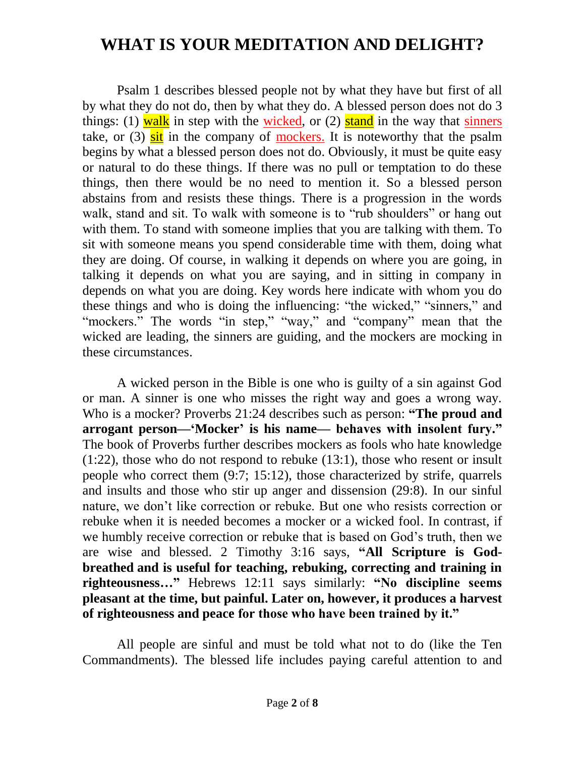Psalm 1 describes blessed people not by what they have but first of all by what they do not do, then by what they do. A blessed person does not do 3 things: (1) walk in step with the wicked, or (2) stand in the way that sinners take, or  $(3)$  sit in the company of mockers. It is noteworthy that the psalm begins by what a blessed person does not do. Obviously, it must be quite easy or natural to do these things. If there was no pull or temptation to do these things, then there would be no need to mention it. So a blessed person abstains from and resists these things. There is a progression in the words walk, stand and sit. To walk with some one is to "rub shoulders" or hang out with them. To stand with someone implies that you are talking with them. To sit with someone means you spend considerable time with them, doing what they are doing. Of course, in walking it depends on where you are going, in talking it depends on what you are saying, and in sitting in company in depends on what you are doing. Key words here indicate with whom you do these things and who is doing the influencing: "the wicked," "sinners," and "mockers." The words "in step," "way," and "company" mean that the wicked are leading, the sinners are guiding, and the mockers are mocking in these circumstances.

A wicked person in the Bible is one who is guilty of a sin against God or man. A sinner is one who misses the right way and goes a wrong way. Who is a mocker? Proverbs 21:24 describes such as person: **"The proud and arrogant person—'Mocker' is his name— behaves with insolent fury."** The book of Proverbs further describes mockers as fools who hate knowledge (1:22), those who do not respond to rebuke (13:1), those who resent or insult people who correct them (9:7; 15:12), those characterized by strife, quarrels and insults and those who stir up anger and dissension (29:8). In our sinful nature, we don't like correction or rebuke. But one who resists correction or rebuke when it is needed becomes a mocker or a wicked fool. In contrast, if we humbly receive correction or rebuke that is based on God's truth, then we are wise and blessed. 2 Timothy 3:16 says, **"All Scripture is Godbreathed and is useful for teaching, rebuking, correcting and training in righteousness…"** Hebrews 12:11 says similarly: **"No discipline seems pleasant at the time, but painful. Later on, however, it produces a harvest of righteousness and peace for those who have been trained by it."**

All people are sinful and must be told what not to do (like the Ten Commandments). The blessed life includes paying careful attention to and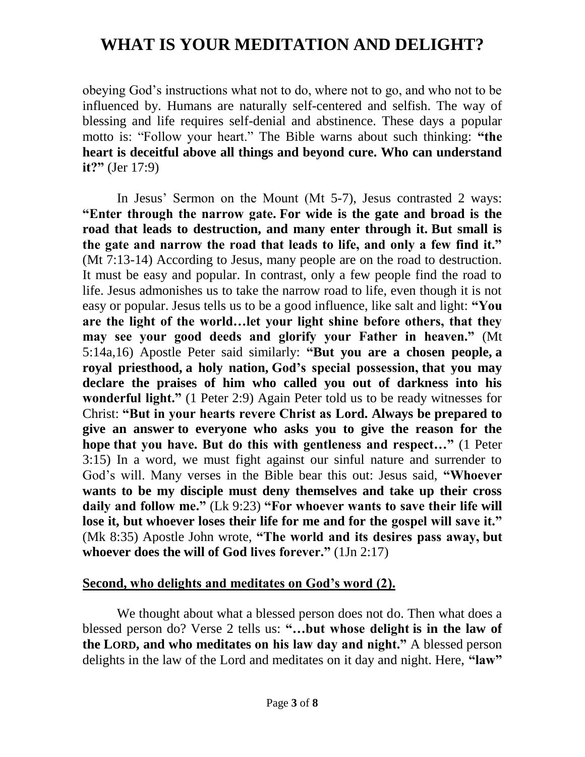obeying God's instructions what not to do, where not to go, and who not to be influenced by. Humans are naturally self-centered and selfish. The way of blessing and life requires self-denial and abstinence. These days a popular motto is: "Follow your heart." The Bible warns about such thinking: **"the heart is deceitful above all things and beyond cure. Who can understand it?"** (Jer 17:9)

In Jesus' Sermon on the Mount (Mt 5-7), Jesus contrasted 2 ways: **"Enter through the narrow gate. For wide is the gate and broad is the road that leads to destruction, and many enter through it. But small is the gate and narrow the road that leads to life, and only a few find it."** (Mt 7:13-14) According to Jesus, many people are on the road to destruction. It must be easy and popular. In contrast, only a few people find the road to life. Jesus admonishes us to take the narrow road to life, even though it is not easy or popular. Jesus tells us to be a good influence, like salt and light: **"You are the light of the world…let your light shine before others, that they may see your good deeds and glorify your Father in heaven."** (Mt 5:14a,16) Apostle Peter said similarly: **"But you are a chosen people, a royal priesthood, a holy nation, God's special possession, that you may declare the praises of him who called you out of darkness into his wonderful light."** (1 Peter 2:9) Again Peter told us to be ready witnesses for Christ: **"But in your hearts revere Christ as Lord. Always be prepared to give an answer to everyone who asks you to give the reason for the hope that you have. But do this with gentleness and respect…"** (1 Peter 3:15) In a word, we must fight against our sinful nature and surrender to God's will. Many verses in the Bible bear this out: Jesus said, **"Whoever wants to be my disciple must deny themselves and take up their cross daily and follow me."** (Lk 9:23) **"For whoever wants to save their life will lose it, but whoever loses their life for me and for the gospel will save it."** (Mk 8:35) Apostle John wrote, **"The world and its desires pass away, but whoever does the will of God lives forever."** (1Jn 2:17)

#### **Second, who delights and meditates on God's word (2).**

We thought about what a blessed person does not do. Then what does a blessed person do? Verse 2 tells us: **"…but whose delight is in the law of the LORD, and who meditates on his law day and night."** A blessed person delights in the law of the Lord and meditates on it day and night. Here, **"law"**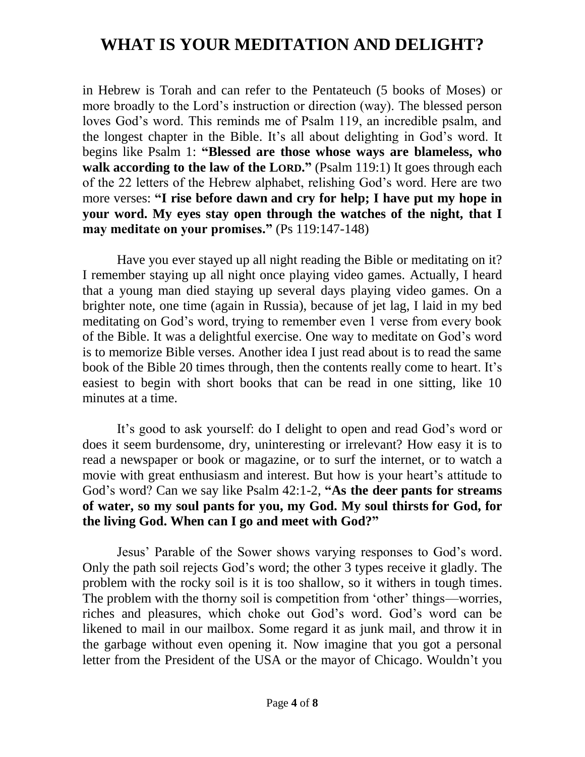in Hebrew is Torah and can refer to the Pentateuch (5 books of Moses) or more broadly to the Lord's instruction or direction (way). The blessed person loves God's word. This reminds me of Psalm 119, an incredible psalm, and the longest chapter in the Bible. It's all about delighting in God's word. It begins like Psalm 1: **"Blessed are those whose ways are blameless, who walk according to the law of the LORD."** (Psalm 119:1) It goes through each of the 22 letters of the Hebrew alphabet, relishing God's word. Here are two more verses: **"I rise before dawn and cry for help; I have put my hope in your word. My eyes stay open through the watches of the night, that I may meditate on your promises."** (Ps 119:147-148)

Have you ever stayed up all night reading the Bible or meditating on it? I remember staying up all night once playing video games. Actually, I heard that a young man died staying up several days playing video games. On a brighter note, one time (again in Russia), because of jet lag, I laid in my bed meditating on God's word, trying to remember even 1 verse from every book of the Bible. It was a delightful exercise. One way to meditate on God's word is to memorize Bible verses. Another idea I just read about is to read the same book of the Bible 20 times through, then the contents really come to heart. It's easiest to begin with short books that can be read in one sitting, like 10 minutes at a time.

It's good to ask yourself: do I delight to open and read God's word or does it seem burdensome, dry, uninteresting or irrelevant? How easy it is to read a newspaper or book or magazine, or to surf the internet, or to watch a movie with great enthusiasm and interest. But how is your heart's attitude to God's word? Can we say like Psalm 42:1-2, **"As the deer pants for streams of water, so my soul pants for you, my God. My soul thirsts for God, for the living God. When can I go and meet with God?"**

Jesus' Parable of the Sower shows varying responses to God's word. Only the path soil rejects God's word; the other 3 types receive it gladly. The problem with the rocky soil is it is too shallow, so it withers in tough times. The problem with the thorny soil is competition from 'other' things—worries, riches and pleasures, which choke out God's word. God's word can be likened to mail in our mailbox. Some regard it as junk mail, and throw it in the garbage without even opening it. Now imagine that you got a personal letter from the President of the USA or the mayor of Chicago. Wouldn't you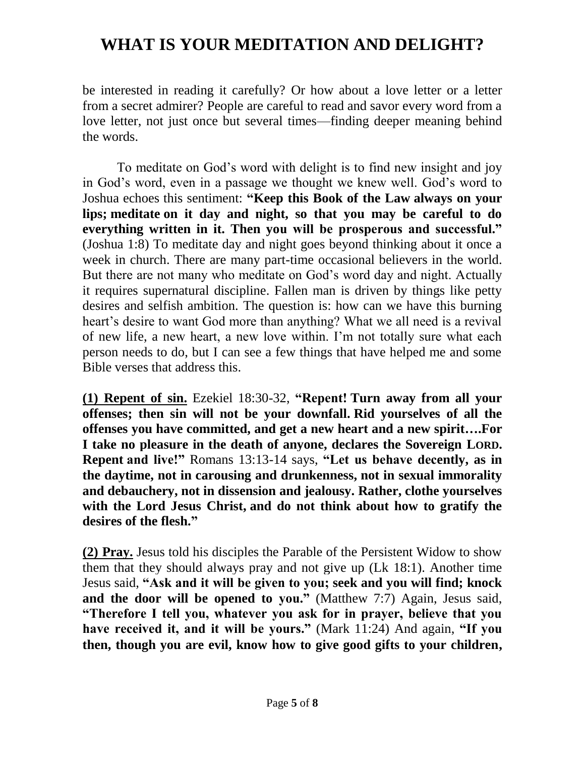be interested in reading it carefully? Or how about a love letter or a letter from a secret admirer? People are careful to read and savor every word from a love letter, not just once but several times—finding deeper meaning behind the words.

To meditate on God's word with delight is to find new insight and joy in God's word, even in a passage we thought we knew well. God's word to Joshua echoes this sentiment: **"Keep this Book of the Law always on your lips; meditate on it day and night, so that you may be careful to do everything written in it. Then you will be prosperous and successful."** (Joshua 1:8) To meditate day and night goes beyond thinking about it once a week in church. There are many part-time occasional believers in the world. But there are not many who meditate on God's word day and night. Actually it requires supernatural discipline. Fallen man is driven by things like petty desires and selfish ambition. The question is: how can we have this burning heart's desire to want God more than anything? What we all need is a revival of new life, a new heart, a new love within. I'm not totally sure what each person needs to do, but I can see a few things that have helped me and some Bible verses that address this.

**(1) Repent of sin.** Ezekiel 18:30-32, **"Repent! Turn away from all your offenses; then sin will not be your downfall. Rid yourselves of all the offenses you have committed, and get a new heart and a new spirit….For I take no pleasure in the death of anyone, declares the Sovereign LORD. Repent and live!"** Romans 13:13-14 says, **"Let us behave decently, as in the daytime, not in carousing and drunkenness, not in sexual immorality and debauchery, not in dissension and jealousy. Rather, clothe yourselves with the Lord Jesus Christ, and do not think about how to gratify the desires of the flesh."**

**(2) Pray.** Jesus told his disciples the Parable of the Persistent Widow to show them that they should always pray and not give up (Lk 18:1). Another time Jesus said, **"Ask and it will be given to you; seek and you will find; knock and the door will be opened to you."** (Matthew 7:7) Again, Jesus said, **"Therefore I tell you, whatever you ask for in prayer, believe that you have received it, and it will be yours."** (Mark 11:24) And again, **"If you then, though you are evil, know how to give good gifts to your children,**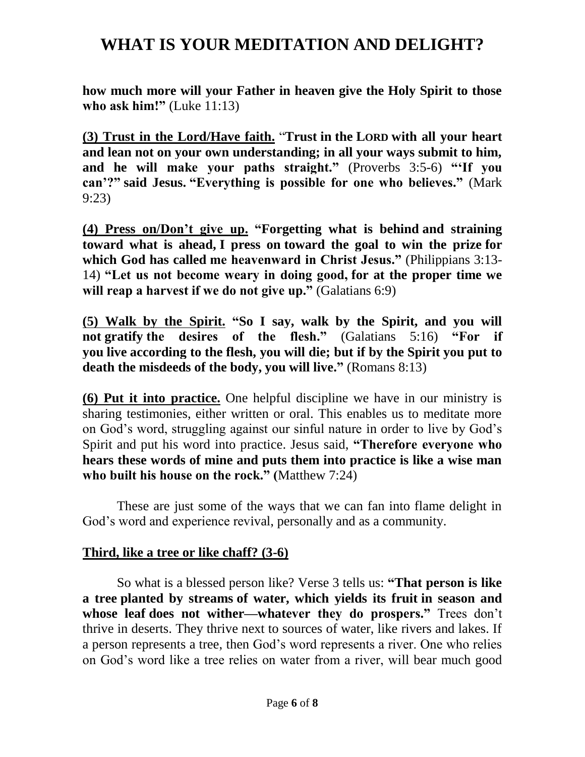**how much more will your Father in heaven give the Holy Spirit to those who ask him!"** (Luke 11:13)

**(3) Trust in the Lord/Have faith.** "**Trust in the LORD with all your heart and lean not on your own understanding; in all your ways submit to him, and he will make your paths straight."** (Proverbs 3:5-6) **"'If you can'?" said Jesus. "Everything is possible for one who believes."** (Mark 9:23)

**(4) Press on/Don't give up. "Forgetting what is behind and straining toward what is ahead, I press on toward the goal to win the prize for which God has called me heavenward in Christ Jesus."** (Philippians 3:13- 14) **"Let us not become weary in doing good, for at the proper time we will reap a harvest if we do not give up."** (Galatians 6:9)

**(5) Walk by the Spirit. "So I say, walk by the Spirit, and you will not gratify the desires of the flesh."** (Galatians 5:16) **"For if you live according to the flesh, you will die; but if by the Spirit you put to death the misdeeds of the body, you will live."** (Romans 8:13)

**(6) Put it into practice.** One helpful discipline we have in our ministry is sharing testimonies, either written or oral. This enables us to meditate more on God's word, struggling against our sinful nature in order to live by God's Spirit and put his word into practice. Jesus said, **"Therefore everyone who hears these words of mine and puts them into practice is like a wise man who built his house on the rock." (**Matthew 7:24)

These are just some of the ways that we can fan into flame delight in God's word and experience revival, personally and as a community.

#### **Third, like a tree or like chaff? (3-6)**

So what is a blessed person like? Verse 3 tells us: **"That person is like a tree planted by streams of water, which yields its fruit in season and whose leaf does not wither—whatever they do prospers."** Trees don't thrive in deserts. They thrive next to sources of water, like rivers and lakes. If a person represents a tree, then God's word represents a river. One who relies on God's word like a tree relies on water from a river, will bear much good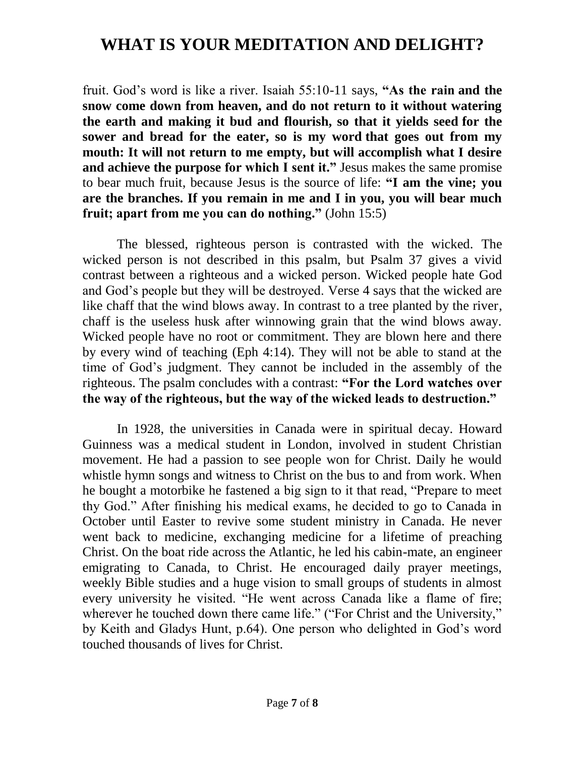fruit. God's word is like a river. Isaiah 55:10-11 says, **"As the rain and the snow come down from heaven, and do not return to it without watering the earth and making it bud and flourish, so that it yields seed for the sower and bread for the eater, so is my word that goes out from my mouth: It will not return to me empty, but will accomplish what I desire and achieve the purpose for which I sent it."** Jesus makes the same promise to bear much fruit, because Jesus is the source of life: **"I am the vine; you are the branches. If you remain in me and I in you, you will bear much fruit; apart from me you can do nothing."** (John 15:5)

The blessed, righteous person is contrasted with the wicked. The wicked person is not described in this psalm, but Psalm 37 gives a vivid contrast between a righteous and a wicked person. Wicked people hate God and God's people but they will be destroyed. Verse 4 says that the wicked are like chaff that the wind blows away. In contrast to a tree planted by the river, chaff is the useless husk after winnowing grain that the wind blows away. Wicked people have no root or commitment. They are blown here and there by every wind of teaching (Eph 4:14). They will not be able to stand at the time of God's judgment. They cannot be included in the assembly of the righteous. The psalm concludes with a contrast: **"For the Lord watches over the way of the righteous, but the way of the wicked leads to destruction."**

In 1928, the universities in Canada were in spiritual decay. Howard Guinness was a medical student in London, involved in student Christian movement. He had a passion to see people won for Christ. Daily he would whistle hymn songs and witness to Christ on the bus to and from work. When he bought a motorbike he fastened a big sign to it that read, "Prepare to meet thy God." After finishing his medical exams, he decided to go to Canada in October until Easter to revive some student ministry in Canada. He never went back to medicine, exchanging medicine for a lifetime of preaching Christ. On the boat ride across the Atlantic, he led his cabin-mate, an engineer emigrating to Canada, to Christ. He encouraged daily prayer meetings, weekly Bible studies and a huge vision to small groups of students in almost every university he visited. "He went across Canada like a flame of fire; wherever he touched down there came life." ("For Christ and the University," by Keith and Gladys Hunt, p.64). One person who delighted in God's word touched thousands of lives for Christ.